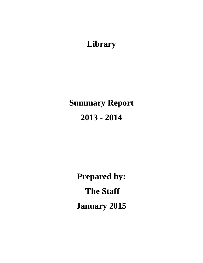**Library**

# **Summary Report 2013 - 2014**

**Prepared by: The Staff January 2015**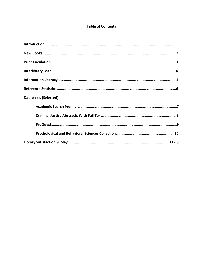## **Table of Contents**

| <b>Databases (Selected)</b> |
|-----------------------------|
|                             |
|                             |
|                             |
|                             |
|                             |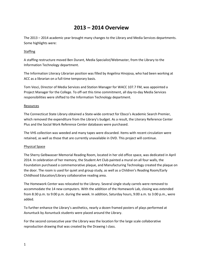# **2013 – 2014 Overview**

The 2013 – 2014 academic year brought many changes to the Library and Media Services departments. Some highlights were:

#### **Staffing**

A staffing restructure moved Ben Durant, Media Specialist/Webmaster, from the Library to the Information Technology department.

The Information Literacy Librarian position was filled by Angelina Hinojosa, who had been working at ACC as a librarian on a full-time temporary basis.

Tom Vesci, Director of Media Services and Station Manager for WACC 107.7 FM, was appointed a Project Manager for the College. To off-set this time commitment, all day-to-day Media Services responsibilities were shifted to the Information Technology department.

#### Resources

The Connecticut State Library obtained a State-wide contract for Ebsco's Academic Search Premier, which removed the expenditure from the Library's budget. As a result, the Literary Reference Center Plus and the Social Work Reference Center databases were purchased.

The VHS collection was weeded and many tapes were discarded. Items with recent circulation were retained, as well as those that are currently unavailable in DVD. This project will continue.

### Physical Space

The Sherry Gelbwasser Memorial Reading Room, located in her old office space, was dedicated in April 2014. In celebration of her memory, the Student Art Club painted a mural on all four walls, the Foundation purchased a commemorative plaque, and Manufacturing Technology created the plaque on the door. The room is used for quiet and group study, as well as a Children's Reading Room/Early Childhood Education/Library collaborative reading area.

The Homework Center was relocated to the Library. Several single study carrels were removed to accommodate the 14 new computers. With the addition of the Homework Lab, closing was extended from 8:30 p.m. to 9:00 p.m. during the week. In addition, Saturday hours, 9:00 a.m. to 3:00 p.m., were added.

To further enhance the Library's aesthetics, nearly a dozen framed posters of plays performed at Asnuntuck by Asnuntuck students were placed around the Library.

For the second consecutive year the Library was the location for the large scale collaborative reproduction drawing that was created by the Drawing I class.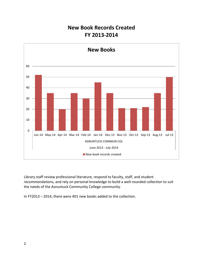# **New Book Records Created FY 2013-2014**



Library staff review professional literature, respond to faculty, staff, and student recommendations, and rely on personal knowledge to build a well-rounded collection to suit the needs of the Asnuntuck Community College community.

In FY2013 – 2014, there were 401 new books added to the collection.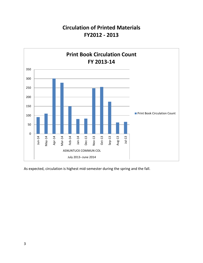# **Circulation of Printed Materials FY2012 - 2013**



As expected, circulation is highest mid-semester during the spring and the fall.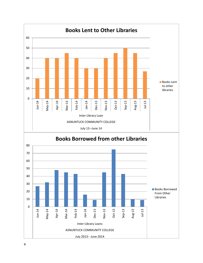

4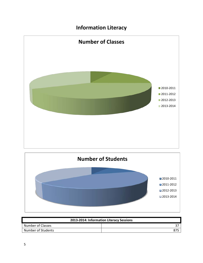# **Information Literacy**





| 2013-2014: Information Literacy Sessions |     |  |  |  |
|------------------------------------------|-----|--|--|--|
| Number of Classes                        |     |  |  |  |
| Number of Students                       | 875 |  |  |  |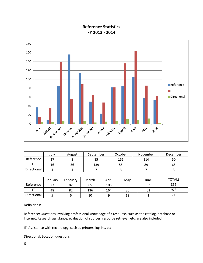# **Reference Statistics FY 2013 - 2014**



|             | July       | August | September | October | November | December |
|-------------|------------|--------|-----------|---------|----------|----------|
| Reference   | <u>ິດສ</u> |        | 85        | 156     | 114      | 50       |
|             | ïр         | 36     | 139       | 55      | 89       | ხ5       |
| Directional |            |        |           |         |          |          |

|             | January | February | March | April | Mav | June | <b>TOTALS</b> |
|-------------|---------|----------|-------|-------|-----|------|---------------|
| Reference   | 23      | 82       | 85    | 105   | 58  | 53   | 856           |
|             | 48      | 82       | 136   | 164   | 86  | 62   | 978           |
| Directional |         |          | 10    |       | 12  |      |               |

Definitions:

Reference: Questions involving professional knowledge of a resource, such as the catalog, database or Internet. Research assistance, evaluation of sources, resource retrieval, etc, are also included.

IT: Assistance with technology, such as printers, log-ins, etc.

Directional: Location questions.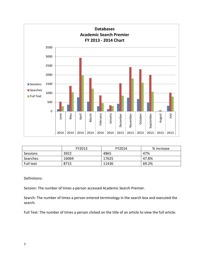

|           | FY2013 | FY2014 | % increase |
|-----------|--------|--------|------------|
| Sessions  | 3922   | 4865   | 47%        |
| Searches  | 16069  | 17625  | 47.8%      |
| Full text | 8715   | 11436  | 69.2%      |

Session: The number of times a person accessed Academic Search Premier.

Search: The number of times a person entered terminology in the search box and executed the search.

Full Text: The number of times a person clicked on the title of an article to view the full article.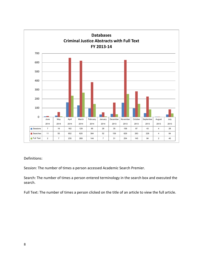

Session: The number of times a person accessed Academic Search Premier.

Search: The number of times a person entered terminology in the search box and executed the search.

Full Text: The number of times a person clicked on the title of an article to view the full article.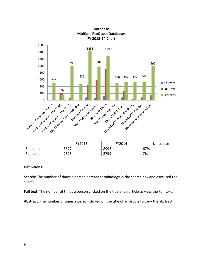

|           | FY2013 | FY2014 | %increase |
|-----------|--------|--------|-----------|
| Searches  | 5377   | 8993   | 67%       |
| Full text | 2625   | 2799   | 7%        |

**Search**: The number of times a person entered terminology in the search box and executed the search.

**Full text**: The number of times a person clicked on the title of an article to view the Full text.

**Abstract**: The number of times a person clicked on the title of an article to view the abstract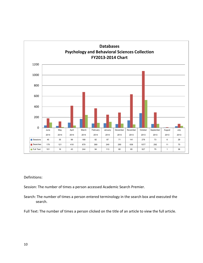

Session: The number of times a person accessed Academic Search Premier.

Search: The number of times a person entered terminology in the search box and executed the search.

Full Text: The number of times a person clicked on the title of an article to view the full article.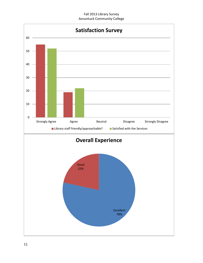#### Fall 2013 Library Survey Asnuntuck Community College

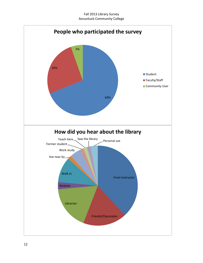